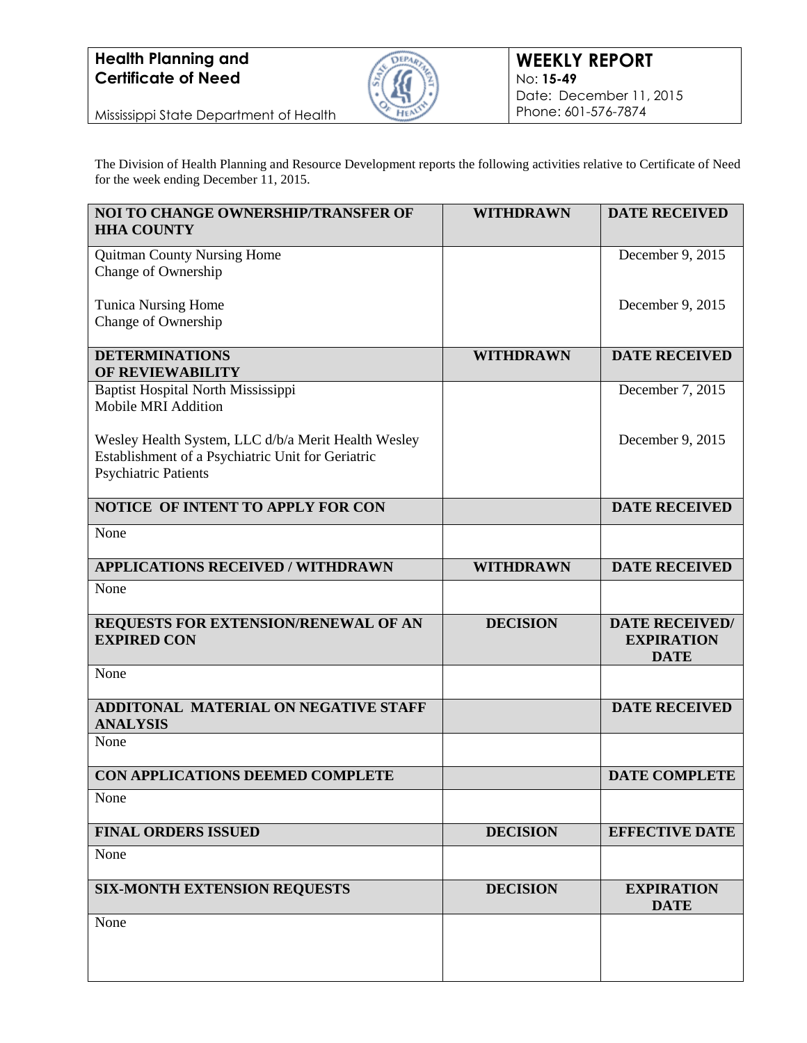

Mississippi State Department of Health

The Division of Health Planning and Resource Development reports the following activities relative to Certificate of Need for the week ending December 11, 2015.

| <b>NOI TO CHANGE OWNERSHIP/TRANSFER OF</b><br><b>HHA COUNTY</b>                                          | <b>WITHDRAWN</b> | <b>DATE RECEIVED</b>                                      |
|----------------------------------------------------------------------------------------------------------|------------------|-----------------------------------------------------------|
| <b>Quitman County Nursing Home</b>                                                                       |                  | December 9, 2015                                          |
| Change of Ownership                                                                                      |                  |                                                           |
| <b>Tunica Nursing Home</b><br>Change of Ownership                                                        |                  | December 9, 2015                                          |
|                                                                                                          |                  |                                                           |
| <b>DETERMINATIONS</b><br><b>OF REVIEWABILITY</b>                                                         | <b>WITHDRAWN</b> | <b>DATE RECEIVED</b>                                      |
| Baptist Hospital North Mississippi<br>Mobile MRI Addition                                                |                  | December 7, 2015                                          |
| Wesley Health System, LLC d/b/a Merit Health Wesley<br>Establishment of a Psychiatric Unit for Geriatric |                  | December 9, 2015                                          |
| <b>Psychiatric Patients</b>                                                                              |                  |                                                           |
| NOTICE OF INTENT TO APPLY FOR CON                                                                        |                  | <b>DATE RECEIVED</b>                                      |
| None                                                                                                     |                  |                                                           |
| <b>APPLICATIONS RECEIVED / WITHDRAWN</b>                                                                 | <b>WITHDRAWN</b> | <b>DATE RECEIVED</b>                                      |
| None                                                                                                     |                  |                                                           |
| REQUESTS FOR EXTENSION/RENEWAL OF AN<br><b>EXPIRED CON</b>                                               | <b>DECISION</b>  | <b>DATE RECEIVED/</b><br><b>EXPIRATION</b><br><b>DATE</b> |
| None                                                                                                     |                  |                                                           |
| <b>ADDITONAL MATERIAL ON NEGATIVE STAFF</b><br><b>ANALYSIS</b>                                           |                  | <b>DATE RECEIVED</b>                                      |
| None                                                                                                     |                  |                                                           |
| CON APPLICATIONS DEEMED COMPLETE                                                                         |                  | <b>DATE COMPLETE</b>                                      |
| None                                                                                                     |                  |                                                           |
| <b>FINAL ORDERS ISSUED</b>                                                                               | <b>DECISION</b>  | <b>EFFECTIVE DATE</b>                                     |
| None                                                                                                     |                  |                                                           |
| <b>SIX-MONTH EXTENSION REQUESTS</b>                                                                      | <b>DECISION</b>  | <b>EXPIRATION</b><br><b>DATE</b>                          |
| None                                                                                                     |                  |                                                           |
|                                                                                                          |                  |                                                           |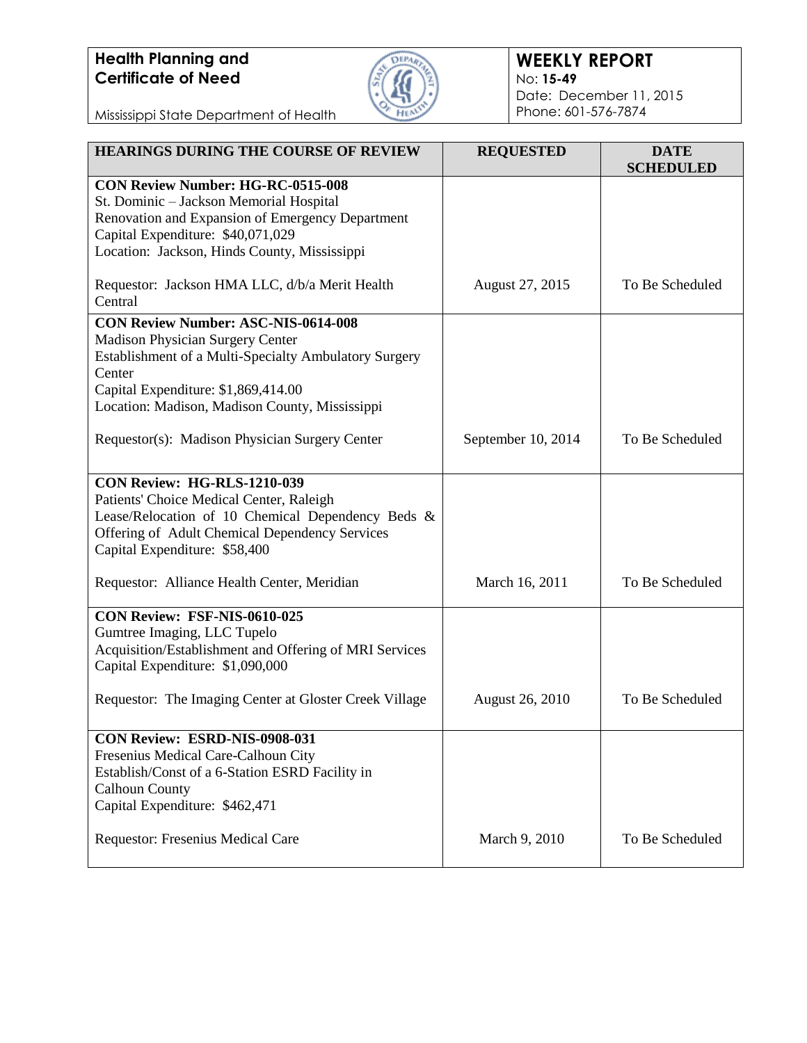

### **WEEKLY REPORT** No: **15-49** Date: December 11, 2015 Phone: 601-576-7874

Mississippi State Department of Health

| <b>HEARINGS DURING THE COURSE OF REVIEW</b>                                           | <b>REQUESTED</b>       | <b>DATE</b><br><b>SCHEDULED</b> |
|---------------------------------------------------------------------------------------|------------------------|---------------------------------|
| <b>CON Review Number: HG-RC-0515-008</b>                                              |                        |                                 |
| St. Dominic - Jackson Memorial Hospital                                               |                        |                                 |
| Renovation and Expansion of Emergency Department                                      |                        |                                 |
| Capital Expenditure: \$40,071,029                                                     |                        |                                 |
| Location: Jackson, Hinds County, Mississippi                                          |                        |                                 |
| Requestor: Jackson HMA LLC, d/b/a Merit Health                                        | August 27, 2015        | To Be Scheduled                 |
| Central                                                                               |                        |                                 |
| <b>CON Review Number: ASC-NIS-0614-008</b>                                            |                        |                                 |
| <b>Madison Physician Surgery Center</b>                                               |                        |                                 |
| Establishment of a Multi-Specialty Ambulatory Surgery                                 |                        |                                 |
| Center                                                                                |                        |                                 |
| Capital Expenditure: \$1,869,414.00                                                   |                        |                                 |
| Location: Madison, Madison County, Mississippi                                        |                        |                                 |
| Requestor(s): Madison Physician Surgery Center                                        | September 10, 2014     | To Be Scheduled                 |
|                                                                                       |                        |                                 |
| <b>CON Review: HG-RLS-1210-039</b>                                                    |                        |                                 |
| Patients' Choice Medical Center, Raleigh                                              |                        |                                 |
| Lease/Relocation of 10 Chemical Dependency Beds &                                     |                        |                                 |
| Offering of Adult Chemical Dependency Services                                        |                        |                                 |
| Capital Expenditure: \$58,400                                                         |                        |                                 |
| Requestor: Alliance Health Center, Meridian                                           | March 16, 2011         | To Be Scheduled                 |
|                                                                                       |                        |                                 |
| CON Review: FSF-NIS-0610-025                                                          |                        |                                 |
| Gumtree Imaging, LLC Tupelo<br>Acquisition/Establishment and Offering of MRI Services |                        |                                 |
| Capital Expenditure: \$1,090,000                                                      |                        |                                 |
|                                                                                       |                        |                                 |
| Requestor: The Imaging Center at Gloster Creek Village                                | <b>August 26, 2010</b> | To Be Scheduled                 |
|                                                                                       |                        |                                 |
| CON Review: ESRD-NIS-0908-031                                                         |                        |                                 |
| Fresenius Medical Care-Calhoun City                                                   |                        |                                 |
| Establish/Const of a 6-Station ESRD Facility in                                       |                        |                                 |
| <b>Calhoun County</b>                                                                 |                        |                                 |
| Capital Expenditure: \$462,471                                                        |                        |                                 |
| Requestor: Fresenius Medical Care                                                     | March 9, 2010          | To Be Scheduled                 |
|                                                                                       |                        |                                 |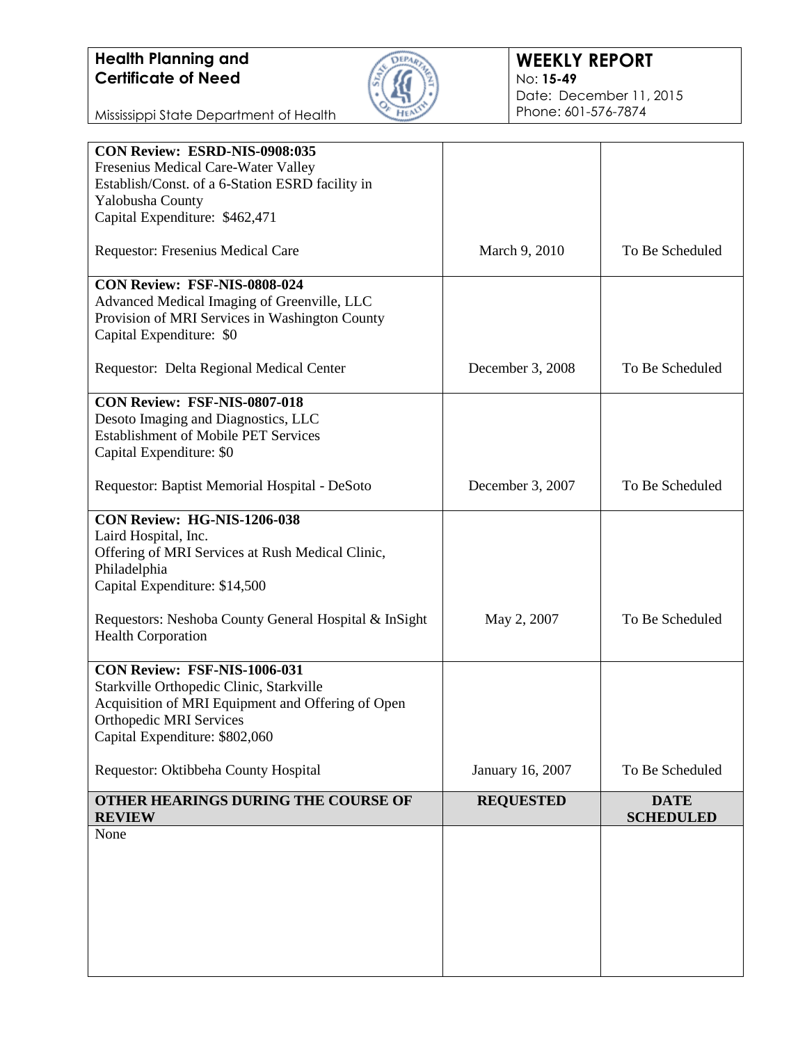

#### **WEEKLY REPORT** No: **15-49** Date: December 11, 2015 Phone: 601-576-7874

Mississippi State Department of Health

| CON Review: ESRD-NIS-0908:035                         |                  |                                 |
|-------------------------------------------------------|------------------|---------------------------------|
| Fresenius Medical Care-Water Valley                   |                  |                                 |
| Establish/Const. of a 6-Station ESRD facility in      |                  |                                 |
| Yalobusha County                                      |                  |                                 |
| Capital Expenditure: \$462,471                        |                  |                                 |
| Requestor: Fresenius Medical Care                     | March 9, 2010    | To Be Scheduled                 |
| CON Review: FSF-NIS-0808-024                          |                  |                                 |
| Advanced Medical Imaging of Greenville, LLC           |                  |                                 |
| Provision of MRI Services in Washington County        |                  |                                 |
| Capital Expenditure: \$0                              |                  |                                 |
| Requestor: Delta Regional Medical Center              | December 3, 2008 | To Be Scheduled                 |
| <b>CON Review: FSF-NIS-0807-018</b>                   |                  |                                 |
| Desoto Imaging and Diagnostics, LLC                   |                  |                                 |
| <b>Establishment of Mobile PET Services</b>           |                  |                                 |
| Capital Expenditure: \$0                              |                  |                                 |
| Requestor: Baptist Memorial Hospital - DeSoto         | December 3, 2007 | To Be Scheduled                 |
|                                                       |                  |                                 |
| CON Review: HG-NIS-1206-038                           |                  |                                 |
| Laird Hospital, Inc.                                  |                  |                                 |
| Offering of MRI Services at Rush Medical Clinic,      |                  |                                 |
| Philadelphia                                          |                  |                                 |
| Capital Expenditure: \$14,500                         |                  |                                 |
| Requestors: Neshoba County General Hospital & InSight | May 2, 2007      | To Be Scheduled                 |
| <b>Health Corporation</b>                             |                  |                                 |
| CON Review: FSF-NIS-1006-031                          |                  |                                 |
| Starkville Orthopedic Clinic, Starkville              |                  |                                 |
| Acquisition of MRI Equipment and Offering of Open     |                  |                                 |
| <b>Orthopedic MRI Services</b>                        |                  |                                 |
| Capital Expenditure: \$802,060                        |                  |                                 |
| Requestor: Oktibbeha County Hospital                  | January 16, 2007 | To Be Scheduled                 |
| OTHER HEARINGS DURING THE COURSE OF<br><b>REVIEW</b>  | <b>REQUESTED</b> | <b>DATE</b><br><b>SCHEDULED</b> |
| None                                                  |                  |                                 |
|                                                       |                  |                                 |
|                                                       |                  |                                 |
|                                                       |                  |                                 |
|                                                       |                  |                                 |
|                                                       |                  |                                 |
|                                                       |                  |                                 |
|                                                       |                  |                                 |
|                                                       |                  |                                 |